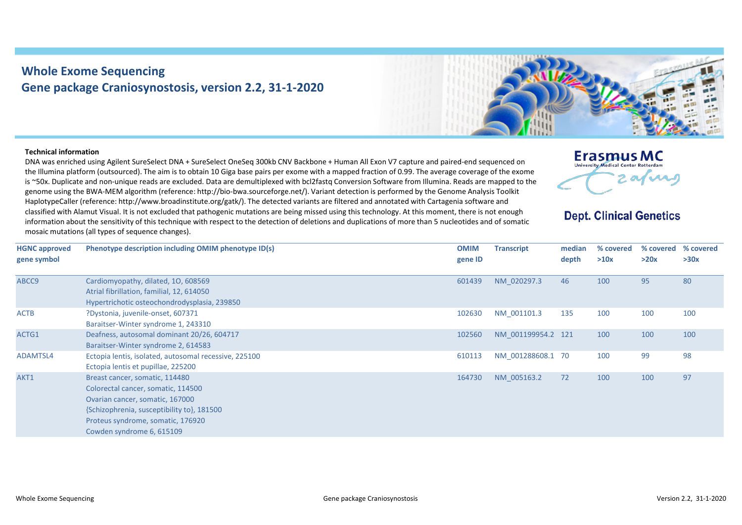## **Whole Exome Sequencing Gene package Craniosynostosis, version 2.2, 31-1-2020**



## **Technical information**

DNA was enriched using Agilent SureSelect DNA + SureSelect OneSeq 300kb CNV Backbone + Human All Exon V7 capture and paired-end sequenced on the Illumina platform (outsourced). The aim is to obtain 10 Giga base pairs per exome with a mapped fraction of 0.99. The average coverage of the exome is ~50x. Duplicate and non-unique reads are excluded. Data are demultiplexed with bcl2fastq Conversion Software from Illumina. Reads are mapped to the genome using the BWA-MEM algorithm (reference: http://bio-bwa.sourceforge.net/). Variant detection is performed by the Genome Analysis Toolkit HaplotypeCaller (reference: http://www.broadinstitute.org/gatk/). The detected variants are filtered and annotated with Cartagenia software and classified with Alamut Visual. It is not excluded that pathogenic mutations are being missed using this technology. At this moment, there is not enough information about the sensitivity of this technique with respect to the detection of deletions and duplications of more than 5 nucleotides and of somatic mosaic mutations (all types of sequence changes).



## **Dept. Clinical Genetics**

| <b>HGNC approved</b> | Phenotype description including OMIM phenotype ID(s)  | <b>OMIM</b> | <b>Transcript</b>  | median | % covered | % covered | % covered |
|----------------------|-------------------------------------------------------|-------------|--------------------|--------|-----------|-----------|-----------|
| gene symbol          |                                                       | gene ID     |                    | depth  | >10x      | >20x      | >30x      |
| ABCC9                | Cardiomyopathy, dilated, 10, 608569                   | 601439      | NM 020297.3        | 46     | 100       | 95        | 80        |
|                      | Atrial fibrillation, familial, 12, 614050             |             |                    |        |           |           |           |
|                      | Hypertrichotic osteochondrodysplasia, 239850          |             |                    |        |           |           |           |
| <b>ACTB</b>          | ?Dystonia, juvenile-onset, 607371                     | 102630      | NM 001101.3        | 135    | 100       | 100       | 100       |
|                      | Baraitser-Winter syndrome 1, 243310                   |             |                    |        |           |           |           |
| ACTG1                | Deafness, autosomal dominant 20/26, 604717            | 102560      | NM 001199954.2 121 |        | 100       | 100       | 100       |
|                      | Baraitser-Winter syndrome 2, 614583                   |             |                    |        |           |           |           |
| ADAMTSL4             | Ectopia lentis, isolated, autosomal recessive, 225100 | 610113      | NM 001288608.1 70  |        | 100       | 99        | 98        |
|                      | Ectopia lentis et pupillae, 225200                    |             |                    |        |           |           |           |
| AKT1                 | Breast cancer, somatic, 114480                        | 164730      | NM 005163.2        | 72     | 100       | 100       | 97        |
|                      | Colorectal cancer, somatic, 114500                    |             |                    |        |           |           |           |
|                      | Ovarian cancer, somatic, 167000                       |             |                    |        |           |           |           |
|                      | {Schizophrenia, susceptibility to}, 181500            |             |                    |        |           |           |           |
|                      | Proteus syndrome, somatic, 176920                     |             |                    |        |           |           |           |
|                      | Cowden syndrome 6, 615109                             |             |                    |        |           |           |           |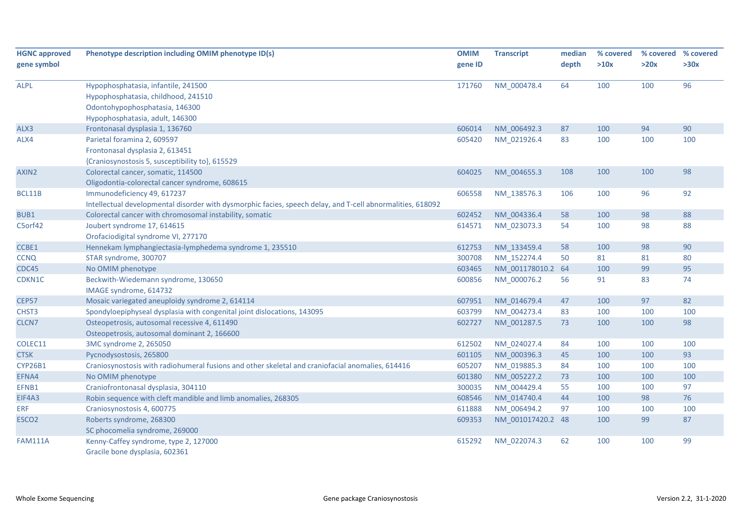| <b>HGNC approved</b> | Phenotype description including OMIM phenotype ID(s)                                                       | <b>OMIM</b> | <b>Transcript</b> | median | % covered |      | % covered % covered |
|----------------------|------------------------------------------------------------------------------------------------------------|-------------|-------------------|--------|-----------|------|---------------------|
| gene symbol          |                                                                                                            | gene ID     |                   | depth  | >10x      | >20x | >30x                |
| <b>ALPL</b>          | Hypophosphatasia, infantile, 241500                                                                        | 171760      | NM_000478.4       | 64     | 100       | 100  | 96                  |
|                      | Hypophosphatasia, childhood, 241510                                                                        |             |                   |        |           |      |                     |
|                      | Odontohypophosphatasia, 146300                                                                             |             |                   |        |           |      |                     |
|                      | Hypophosphatasia, adult, 146300                                                                            |             |                   |        |           |      |                     |
| ALX3                 | Frontonasal dysplasia 1, 136760                                                                            | 606014      | NM_006492.3       | 87     | 100       | 94   | 90                  |
| ALX4                 | Parietal foramina 2, 609597                                                                                | 605420      | NM_021926.4       | 83     | 100       | 100  | 100                 |
|                      | Frontonasal dysplasia 2, 613451                                                                            |             |                   |        |           |      |                     |
|                      | {Craniosynostosis 5, susceptibility to}, 615529                                                            |             |                   |        |           |      |                     |
| AXIN2                | Colorectal cancer, somatic, 114500                                                                         | 604025      | NM_004655.3       | 108    | 100       | 100  | 98                  |
|                      | Oligodontia-colorectal cancer syndrome, 608615                                                             |             |                   |        |           |      |                     |
| BCL11B               | Immunodeficiency 49, 617237                                                                                | 606558      | NM_138576.3       | 106    | 100       | 96   | 92                  |
|                      | Intellectual developmental disorder with dysmorphic facies, speech delay, and T-cell abnormalities, 618092 |             |                   |        |           |      |                     |
| BUB1                 | Colorectal cancer with chromosomal instability, somatic                                                    | 602452      | NM_004336.4       | 58     | 100       | 98   | 88                  |
| C5orf42              | Joubert syndrome 17, 614615                                                                                | 614571      | NM_023073.3       | 54     | 100       | 98   | 88                  |
|                      | Orofaciodigital syndrome VI, 277170                                                                        |             |                   |        |           |      |                     |
| CCBE1                | Hennekam lymphangiectasia-lymphedema syndrome 1, 235510                                                    | 612753      | NM 133459.4       | 58     | 100       | 98   | 90                  |
| <b>CCNQ</b>          | STAR syndrome, 300707                                                                                      | 300708      | NM_152274.4       | 50     | 81        | 81   | 80                  |
| CDC45                | No OMIM phenotype                                                                                          | 603465      | NM_001178010.2 64 |        | 100       | 99   | 95                  |
| CDKN1C               | Beckwith-Wiedemann syndrome, 130650                                                                        | 600856      | NM_000076.2       | 56     | 91        | 83   | 74                  |
|                      | IMAGE syndrome, 614732                                                                                     |             |                   |        |           |      |                     |
| <b>CEP57</b>         | Mosaic variegated aneuploidy syndrome 2, 614114                                                            | 607951      | NM_014679.4       | 47     | 100       | 97   | 82                  |
| CHST3                | Spondyloepiphyseal dysplasia with congenital joint dislocations, 143095                                    | 603799      | NM 004273.4       | 83     | 100       | 100  | 100                 |
| CLCN7                | Osteopetrosis, autosomal recessive 4, 611490                                                               | 602727      | NM 001287.5       | 73     | 100       | 100  | 98                  |
|                      | Osteopetrosis, autosomal dominant 2, 166600                                                                |             |                   |        |           |      |                     |
| COLEC11              | 3MC syndrome 2, 265050                                                                                     | 612502      | NM_024027.4       | 84     | 100       | 100  | 100                 |
| <b>CTSK</b>          | Pycnodysostosis, 265800                                                                                    | 601105      | NM 000396.3       | 45     | 100       | 100  | 93                  |
| <b>CYP26B1</b>       | Craniosynostosis with radiohumeral fusions and other skeletal and craniofacial anomalies, 614416           | 605207      | NM 019885.3       | 84     | 100       | 100  | 100                 |
| EFNA4                | No OMIM phenotype                                                                                          | 601380      | NM_005227.2       | 73     | 100       | 100  | 100                 |
| EFNB1                | Craniofrontonasal dysplasia, 304110                                                                        | 300035      | NM_004429.4       | 55     | 100       | 100  | 97                  |
| EIF4A3               | Robin sequence with cleft mandible and limb anomalies, 268305                                              | 608546      | NM_014740.4       | 44     | 100       | 98   | 76                  |
| <b>ERF</b>           | Craniosynostosis 4, 600775                                                                                 | 611888      | NM 006494.2       | 97     | 100       | 100  | 100                 |
| ESCO <sub>2</sub>    | Roberts syndrome, 268300                                                                                   | 609353      | NM_001017420.2 48 |        | 100       | 99   | 87                  |
|                      | SC phocomelia syndrome, 269000                                                                             |             |                   |        |           |      |                     |
| <b>FAM111A</b>       | Kenny-Caffey syndrome, type 2, 127000<br>Gracile bone dysplasia, 602361                                    | 615292      | NM_022074.3       | 62     | 100       | 100  | 99                  |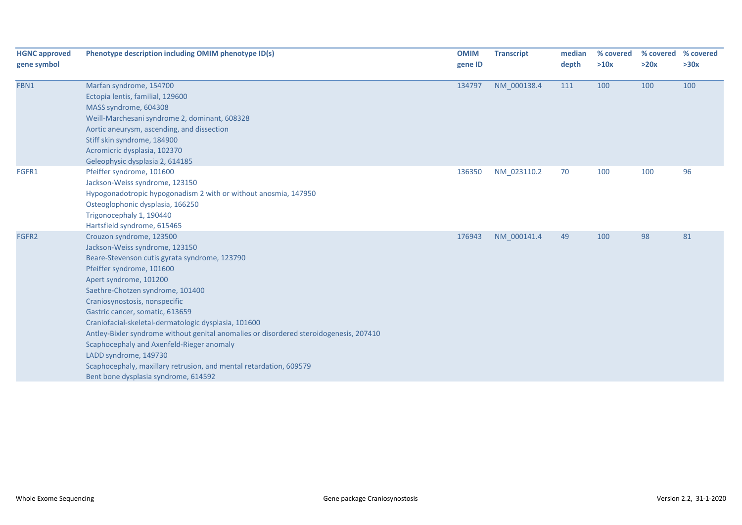| <b>HGNC approved</b><br>gene symbol | Phenotype description including OMIM phenotype ID(s)                                                                                                                                                                                                                                                                                                                                                                                                                                                                                                                                                             | <b>OMIM</b><br>gene ID | <b>Transcript</b> | median<br>depth | % covered<br>>10x | >20x | % covered % covered<br>>30x |
|-------------------------------------|------------------------------------------------------------------------------------------------------------------------------------------------------------------------------------------------------------------------------------------------------------------------------------------------------------------------------------------------------------------------------------------------------------------------------------------------------------------------------------------------------------------------------------------------------------------------------------------------------------------|------------------------|-------------------|-----------------|-------------------|------|-----------------------------|
| FBN1                                | Marfan syndrome, 154700<br>Ectopia lentis, familial, 129600<br>MASS syndrome, 604308<br>Weill-Marchesani syndrome 2, dominant, 608328<br>Aortic aneurysm, ascending, and dissection<br>Stiff skin syndrome, 184900<br>Acromicric dysplasia, 102370<br>Geleophysic dysplasia 2, 614185                                                                                                                                                                                                                                                                                                                            | 134797                 | NM_000138.4       | 111             | 100               | 100  | 100                         |
| FGFR1                               | Pfeiffer syndrome, 101600<br>Jackson-Weiss syndrome, 123150<br>Hypogonadotropic hypogonadism 2 with or without anosmia, 147950<br>Osteoglophonic dysplasia, 166250<br>Trigonocephaly 1, 190440<br>Hartsfield syndrome, 615465                                                                                                                                                                                                                                                                                                                                                                                    | 136350                 | NM_023110.2       | 70              | 100               | 100  | 96                          |
| FGFR2                               | Crouzon syndrome, 123500<br>Jackson-Weiss syndrome, 123150<br>Beare-Stevenson cutis gyrata syndrome, 123790<br>Pfeiffer syndrome, 101600<br>Apert syndrome, 101200<br>Saethre-Chotzen syndrome, 101400<br>Craniosynostosis, nonspecific<br>Gastric cancer, somatic, 613659<br>Craniofacial-skeletal-dermatologic dysplasia, 101600<br>Antley-Bixler syndrome without genital anomalies or disordered steroidogenesis, 207410<br>Scaphocephaly and Axenfeld-Rieger anomaly<br>LADD syndrome, 149730<br>Scaphocephaly, maxillary retrusion, and mental retardation, 609579<br>Bent bone dysplasia syndrome, 614592 | 176943                 | NM 000141.4       | 49              | 100               | 98   | 81                          |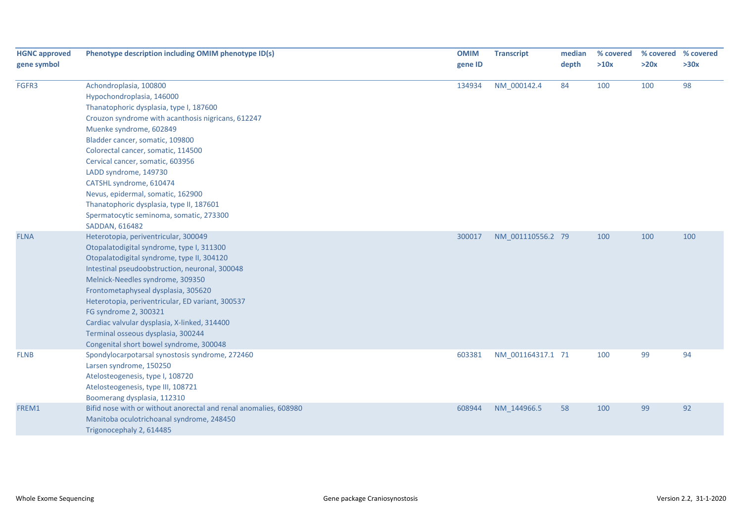| <b>HGNC approved</b><br>gene symbol | Phenotype description including OMIM phenotype ID(s)             | <b>OMIM</b><br>gene ID | <b>Transcript</b> | median<br>depth | % covered<br>>10x | >20x | % covered % covered<br>>30x |
|-------------------------------------|------------------------------------------------------------------|------------------------|-------------------|-----------------|-------------------|------|-----------------------------|
|                                     |                                                                  |                        |                   |                 |                   |      |                             |
| FGFR3                               | Achondroplasia, 100800                                           | 134934                 | NM 000142.4       | 84              | 100               | 100  | 98                          |
|                                     | Hypochondroplasia, 146000                                        |                        |                   |                 |                   |      |                             |
|                                     | Thanatophoric dysplasia, type I, 187600                          |                        |                   |                 |                   |      |                             |
|                                     | Crouzon syndrome with acanthosis nigricans, 612247               |                        |                   |                 |                   |      |                             |
|                                     | Muenke syndrome, 602849                                          |                        |                   |                 |                   |      |                             |
|                                     | Bladder cancer, somatic, 109800                                  |                        |                   |                 |                   |      |                             |
|                                     | Colorectal cancer, somatic, 114500                               |                        |                   |                 |                   |      |                             |
|                                     | Cervical cancer, somatic, 603956                                 |                        |                   |                 |                   |      |                             |
|                                     | LADD syndrome, 149730                                            |                        |                   |                 |                   |      |                             |
|                                     | CATSHL syndrome, 610474                                          |                        |                   |                 |                   |      |                             |
|                                     | Nevus, epidermal, somatic, 162900                                |                        |                   |                 |                   |      |                             |
|                                     | Thanatophoric dysplasia, type II, 187601                         |                        |                   |                 |                   |      |                             |
|                                     | Spermatocytic seminoma, somatic, 273300                          |                        |                   |                 |                   |      |                             |
|                                     | SADDAN, 616482                                                   |                        |                   |                 |                   |      |                             |
| <b>FLNA</b>                         | Heterotopia, periventricular, 300049                             | 300017                 | NM_001110556.2 79 |                 | 100               | 100  | 100                         |
|                                     | Otopalatodigital syndrome, type I, 311300                        |                        |                   |                 |                   |      |                             |
|                                     | Otopalatodigital syndrome, type II, 304120                       |                        |                   |                 |                   |      |                             |
|                                     | Intestinal pseudoobstruction, neuronal, 300048                   |                        |                   |                 |                   |      |                             |
|                                     | Melnick-Needles syndrome, 309350                                 |                        |                   |                 |                   |      |                             |
|                                     | Frontometaphyseal dysplasia, 305620                              |                        |                   |                 |                   |      |                             |
|                                     | Heterotopia, periventricular, ED variant, 300537                 |                        |                   |                 |                   |      |                             |
|                                     | FG syndrome 2, 300321                                            |                        |                   |                 |                   |      |                             |
|                                     | Cardiac valvular dysplasia, X-linked, 314400                     |                        |                   |                 |                   |      |                             |
|                                     | Terminal osseous dysplasia, 300244                               |                        |                   |                 |                   |      |                             |
|                                     | Congenital short bowel syndrome, 300048                          |                        |                   |                 |                   |      |                             |
| <b>FLNB</b>                         | Spondylocarpotarsal synostosis syndrome, 272460                  | 603381                 | NM_001164317.1 71 |                 | 100               | 99   | 94                          |
|                                     | Larsen syndrome, 150250                                          |                        |                   |                 |                   |      |                             |
|                                     | Atelosteogenesis, type I, 108720                                 |                        |                   |                 |                   |      |                             |
|                                     | Atelosteogenesis, type III, 108721                               |                        |                   |                 |                   |      |                             |
|                                     | Boomerang dysplasia, 112310                                      |                        |                   |                 |                   |      |                             |
| FREM1                               | Bifid nose with or without anorectal and renal anomalies, 608980 | 608944                 | NM 144966.5       | 58              | 100               | 99   | 92                          |
|                                     | Manitoba oculotrichoanal syndrome, 248450                        |                        |                   |                 |                   |      |                             |
|                                     | Trigonocephaly 2, 614485                                         |                        |                   |                 |                   |      |                             |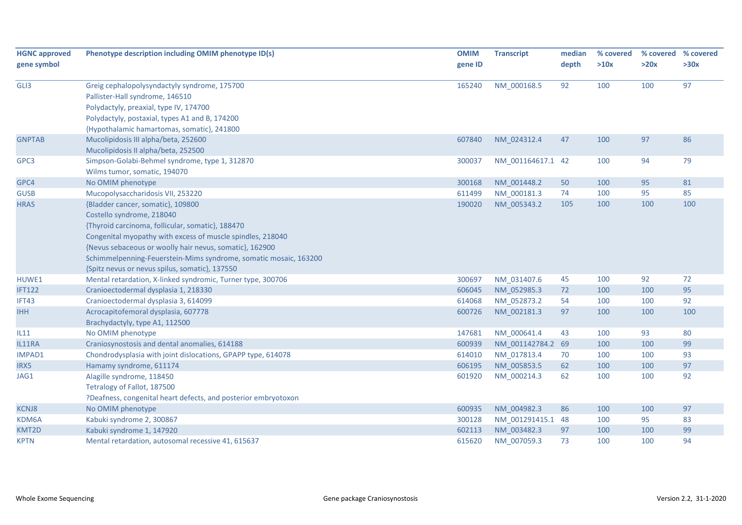| <b>HGNC approved</b> | Phenotype description including OMIM phenotype ID(s)             | <b>OMIM</b> | <b>Transcript</b> | median | % covered |      | % covered % covered |
|----------------------|------------------------------------------------------------------|-------------|-------------------|--------|-----------|------|---------------------|
| gene symbol          |                                                                  | gene ID     |                   | depth  | >10x      | >20x | >30x                |
| GLI3                 | Greig cephalopolysyndactyly syndrome, 175700                     | 165240      | NM 000168.5       | 92     | 100       | 100  | 97                  |
|                      | Pallister-Hall syndrome, 146510                                  |             |                   |        |           |      |                     |
|                      | Polydactyly, preaxial, type IV, 174700                           |             |                   |        |           |      |                     |
|                      | Polydactyly, postaxial, types A1 and B, 174200                   |             |                   |        |           |      |                     |
|                      | {Hypothalamic hamartomas, somatic}, 241800                       |             |                   |        |           |      |                     |
| <b>GNPTAB</b>        | Mucolipidosis III alpha/beta, 252600                             | 607840      | NM 024312.4       | 47     | 100       | 97   | 86                  |
|                      | Mucolipidosis II alpha/beta, 252500                              |             |                   |        |           |      |                     |
| GPC3                 | Simpson-Golabi-Behmel syndrome, type 1, 312870                   | 300037      | NM 001164617.1 42 |        | 100       | 94   | 79                  |
|                      | Wilms tumor, somatic, 194070                                     |             |                   |        |           |      |                     |
| GPC4                 | No OMIM phenotype                                                | 300168      | NM 001448.2       | 50     | 100       | 95   | 81                  |
| <b>GUSB</b>          | Mucopolysaccharidosis VII, 253220                                | 611499      | NM 000181.3       | 74     | 100       | 95   | 85                  |
| <b>HRAS</b>          | {Bladder cancer, somatic}, 109800                                | 190020      | NM_005343.2       | 105    | 100       | 100  | 100                 |
|                      | Costello syndrome, 218040                                        |             |                   |        |           |      |                     |
|                      | {Thyroid carcinoma, follicular, somatic}, 188470                 |             |                   |        |           |      |                     |
|                      | Congenital myopathy with excess of muscle spindles, 218040       |             |                   |        |           |      |                     |
|                      | {Nevus sebaceous or woolly hair nevus, somatic}, 162900          |             |                   |        |           |      |                     |
|                      | Schimmelpenning-Feuerstein-Mims syndrome, somatic mosaic, 163200 |             |                   |        |           |      |                     |
|                      | {Spitz nevus or nevus spilus, somatic}, 137550                   |             |                   |        |           |      |                     |
| HUWE1                | Mental retardation, X-linked syndromic, Turner type, 300706      | 300697      | NM 031407.6       | 45     | 100       | 92   | 72                  |
| <b>IFT122</b>        | Cranioectodermal dysplasia 1, 218330                             | 606045      | NM 052985.3       | 72     | 100       | 100  | 95                  |
| IFT43                | Cranioectodermal dysplasia 3, 614099                             | 614068      | NM 052873.2       | 54     | 100       | 100  | 92                  |
| <b>IHH</b>           | Acrocapitofemoral dysplasia, 607778                              | 600726      | NM_002181.3       | 97     | 100       | 100  | 100                 |
|                      | Brachydactyly, type A1, 112500                                   |             |                   |        |           |      |                     |
| IL11                 | No OMIM phenotype                                                | 147681      | NM_000641.4       | 43     | 100       | 93   | 80                  |
| IL11RA               | Craniosynostosis and dental anomalies, 614188                    | 600939      | NM 001142784.2 69 |        | 100       | 100  | 99                  |
| IMPAD1               | Chondrodysplasia with joint dislocations, GPAPP type, 614078     | 614010      | NM_017813.4       | 70     | 100       | 100  | 93                  |
| IRX5                 | Hamamy syndrome, 611174                                          | 606195      | NM 005853.5       | 62     | 100       | 100  | 97                  |
| JAG1                 | Alagille syndrome, 118450                                        | 601920      | NM 000214.3       | 62     | 100       | 100  | 92                  |
|                      | Tetralogy of Fallot, 187500                                      |             |                   |        |           |      |                     |
|                      | ?Deafness, congenital heart defects, and posterior embryotoxon   |             |                   |        |           |      |                     |
| <b>KCNJ8</b>         | No OMIM phenotype                                                | 600935      | NM 004982.3       | 86     | 100       | 100  | 97                  |
| KDM6A                | Kabuki syndrome 2, 300867                                        | 300128      | NM 001291415.1 48 |        | 100       | 95   | 83                  |
| KMT2D                | Kabuki syndrome 1, 147920                                        | 602113      | NM 003482.3       | 97     | 100       | 100  | 99                  |
| <b>KPTN</b>          | Mental retardation, autosomal recessive 41, 615637               | 615620      | NM 007059.3       | 73     | 100       | 100  | 94                  |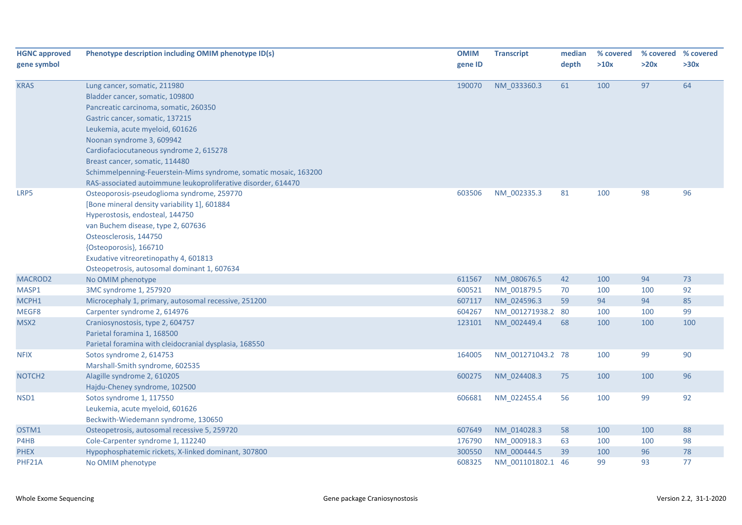| <b>HGNC approved</b> | Phenotype description including OMIM phenotype ID(s)             | <b>OMIM</b> | <b>Transcript</b> | median | % covered | % covered | % covered |
|----------------------|------------------------------------------------------------------|-------------|-------------------|--------|-----------|-----------|-----------|
| gene symbol          |                                                                  | gene ID     |                   | depth  | >10x      | >20x      | >30x      |
| <b>KRAS</b>          | Lung cancer, somatic, 211980                                     | 190070      | NM_033360.3       | 61     | 100       | 97        | 64        |
|                      | Bladder cancer, somatic, 109800                                  |             |                   |        |           |           |           |
|                      | Pancreatic carcinoma, somatic, 260350                            |             |                   |        |           |           |           |
|                      | Gastric cancer, somatic, 137215                                  |             |                   |        |           |           |           |
|                      | Leukemia, acute myeloid, 601626                                  |             |                   |        |           |           |           |
|                      | Noonan syndrome 3, 609942                                        |             |                   |        |           |           |           |
|                      | Cardiofaciocutaneous syndrome 2, 615278                          |             |                   |        |           |           |           |
|                      | Breast cancer, somatic, 114480                                   |             |                   |        |           |           |           |
|                      | Schimmelpenning-Feuerstein-Mims syndrome, somatic mosaic, 163200 |             |                   |        |           |           |           |
|                      | RAS-associated autoimmune leukoproliferative disorder, 614470    |             |                   |        |           |           |           |
| LRP5                 | Osteoporosis-pseudoglioma syndrome, 259770                       | 603506      | NM_002335.3       | 81     | 100       | 98        | 96        |
|                      | [Bone mineral density variability 1], 601884                     |             |                   |        |           |           |           |
|                      | Hyperostosis, endosteal, 144750                                  |             |                   |        |           |           |           |
|                      | van Buchem disease, type 2, 607636                               |             |                   |        |           |           |           |
|                      | Osteosclerosis, 144750                                           |             |                   |        |           |           |           |
|                      | {Osteoporosis}, 166710                                           |             |                   |        |           |           |           |
|                      | Exudative vitreoretinopathy 4, 601813                            |             |                   |        |           |           |           |
|                      | Osteopetrosis, autosomal dominant 1, 607634                      |             |                   |        |           |           |           |
| MACROD <sub>2</sub>  | No OMIM phenotype                                                | 611567      | NM 080676.5       | 42     | 100       | 94        | 73        |
| MASP1                | 3MC syndrome 1, 257920                                           | 600521      | NM 001879.5       | 70     | 100       | 100       | 92        |
| MCPH1                | Microcephaly 1, primary, autosomal recessive, 251200             | 607117      | NM 024596.3       | 59     | 94        | 94        | 85        |
| MEGF8                | Carpenter syndrome 2, 614976                                     | 604267      | NM 001271938.2 80 |        | 100       | 100       | 99        |
| MSX2                 | Craniosynostosis, type 2, 604757                                 | 123101      | NM 002449.4       | 68     | 100       | 100       | 100       |
|                      | Parietal foramina 1, 168500                                      |             |                   |        |           |           |           |
|                      | Parietal foramina with cleidocranial dysplasia, 168550           |             |                   |        |           |           |           |
| <b>NFIX</b>          | Sotos syndrome 2, 614753                                         | 164005      | NM_001271043.2 78 |        | 100       | 99        | 90        |
|                      | Marshall-Smith syndrome, 602535                                  |             |                   |        |           |           |           |
| NOTCH <sub>2</sub>   | Alagille syndrome 2, 610205                                      | 600275      | NM 024408.3       | 75     | 100       | 100       | 96        |
|                      | Hajdu-Cheney syndrome, 102500                                    |             |                   |        |           |           |           |
| NSD1                 | Sotos syndrome 1, 117550                                         | 606681      | NM_022455.4       | 56     | 100       | 99        | 92        |
|                      | Leukemia, acute myeloid, 601626                                  |             |                   |        |           |           |           |
|                      | Beckwith-Wiedemann syndrome, 130650                              |             |                   |        |           |           |           |
| OSTM1                | Osteopetrosis, autosomal recessive 5, 259720                     | 607649      | NM 014028.3       | 58     | 100       | 100       | 88        |
| P4HB                 | Cole-Carpenter syndrome 1, 112240                                | 176790      | NM_000918.3       | 63     | 100       | 100       | 98        |
| <b>PHEX</b>          | Hypophosphatemic rickets, X-linked dominant, 307800              | 300550      | NM 000444.5       | 39     | 100       | 96        | 78        |
| PHF21A               | No OMIM phenotype                                                | 608325      | NM 001101802.1 46 |        | 99        | 93        | 77        |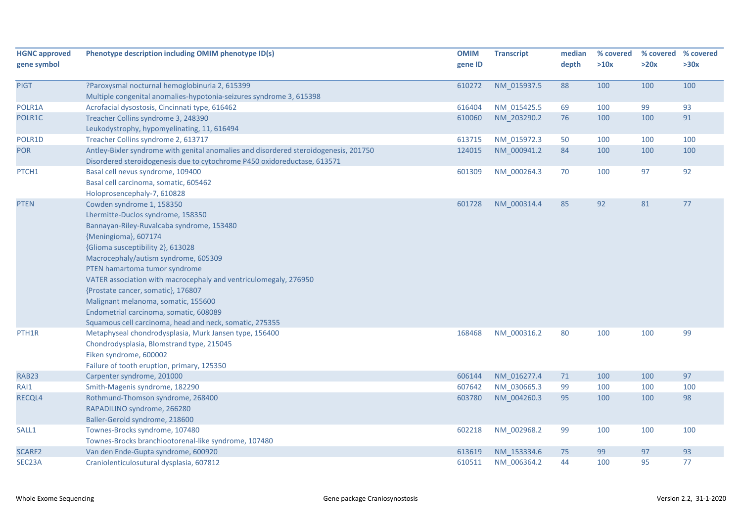| <b>HGNC approved</b> | Phenotype description including OMIM phenotype ID(s)                                 | <b>OMIM</b> | <b>Transcript</b> | median | % covered | % covered % covered |      |
|----------------------|--------------------------------------------------------------------------------------|-------------|-------------------|--------|-----------|---------------------|------|
| gene symbol          |                                                                                      | gene ID     |                   | depth  | >10x      | >20x                | >30x |
|                      |                                                                                      |             |                   |        |           |                     |      |
| <b>PIGT</b>          | ?Paroxysmal nocturnal hemoglobinuria 2, 615399                                       | 610272      | NM_015937.5       | 88     | 100       | 100                 | 100  |
|                      | Multiple congenital anomalies-hypotonia-seizures syndrome 3, 615398                  |             |                   |        |           |                     |      |
| POLR1A               | Acrofacial dysostosis, Cincinnati type, 616462                                       | 616404      | NM 015425.5       | 69     | 100       | 99                  | 93   |
| POLR1C               | Treacher Collins syndrome 3, 248390                                                  | 610060      | NM_203290.2       | 76     | 100       | 100                 | 91   |
|                      | Leukodystrophy, hypomyelinating, 11, 616494                                          |             |                   |        |           |                     |      |
| POLR1D               | Treacher Collins syndrome 2, 613717                                                  | 613715      | NM_015972.3       | 50     | 100       | 100                 | 100  |
| <b>POR</b>           | Antley-Bixler syndrome with genital anomalies and disordered steroidogenesis, 201750 | 124015      | NM_000941.2       | 84     | 100       | 100                 | 100  |
|                      | Disordered steroidogenesis due to cytochrome P450 oxidoreductase, 613571             |             |                   |        |           |                     |      |
| PTCH1                | Basal cell nevus syndrome, 109400                                                    | 601309      | NM 000264.3       | 70     | 100       | 97                  | 92   |
|                      | Basal cell carcinoma, somatic, 605462                                                |             |                   |        |           |                     |      |
|                      | Holoprosencephaly-7, 610828                                                          |             |                   |        |           |                     |      |
| <b>PTEN</b>          | Cowden syndrome 1, 158350                                                            | 601728      | NM 000314.4       | 85     | 92        | 81                  | 77   |
|                      | Lhermitte-Duclos syndrome, 158350                                                    |             |                   |        |           |                     |      |
|                      | Bannayan-Riley-Ruvalcaba syndrome, 153480                                            |             |                   |        |           |                     |      |
|                      | {Meningioma}, 607174                                                                 |             |                   |        |           |                     |      |
|                      | {Glioma susceptibility 2}, 613028                                                    |             |                   |        |           |                     |      |
|                      | Macrocephaly/autism syndrome, 605309                                                 |             |                   |        |           |                     |      |
|                      | PTEN hamartoma tumor syndrome                                                        |             |                   |        |           |                     |      |
|                      | VATER association with macrocephaly and ventriculomegaly, 276950                     |             |                   |        |           |                     |      |
|                      | {Prostate cancer, somatic}, 176807                                                   |             |                   |        |           |                     |      |
|                      | Malignant melanoma, somatic, 155600                                                  |             |                   |        |           |                     |      |
|                      | Endometrial carcinoma, somatic, 608089                                               |             |                   |        |           |                     |      |
|                      | Squamous cell carcinoma, head and neck, somatic, 275355                              |             |                   |        |           |                     |      |
| PTH1R                | Metaphyseal chondrodysplasia, Murk Jansen type, 156400                               | 168468      | NM 000316.2       | 80     | 100       | 100                 | 99   |
|                      | Chondrodysplasia, Blomstrand type, 215045                                            |             |                   |        |           |                     |      |
|                      | Eiken syndrome, 600002                                                               |             |                   |        |           |                     |      |
|                      | Failure of tooth eruption, primary, 125350                                           |             |                   |        |           |                     |      |
| <b>RAB23</b>         | Carpenter syndrome, 201000                                                           | 606144      | NM 016277.4       | 71     | 100       | 100                 | 97   |
| RAI1                 | Smith-Magenis syndrome, 182290                                                       | 607642      | NM 030665.3       | 99     | 100       | 100                 | 100  |
| RECQL4               | Rothmund-Thomson syndrome, 268400                                                    | 603780      | NM 004260.3       | 95     | 100       | 100                 | 98   |
|                      | RAPADILINO syndrome, 266280                                                          |             |                   |        |           |                     |      |
|                      | Baller-Gerold syndrome, 218600                                                       |             |                   |        |           |                     |      |
| SALL1                | Townes-Brocks syndrome, 107480                                                       | 602218      | NM_002968.2       | 99     | 100       | 100                 | 100  |
|                      | Townes-Brocks branchiootorenal-like syndrome, 107480                                 |             |                   |        |           |                     |      |
| SCARF2               | Van den Ende-Gupta syndrome, 600920                                                  | 613619      | NM 153334.6       | 75     | 99        | 97                  | 93   |
| SEC23A               | Craniolenticulosutural dysplasia, 607812                                             | 610511      | NM 006364.2       | 44     | 100       | 95                  | 77   |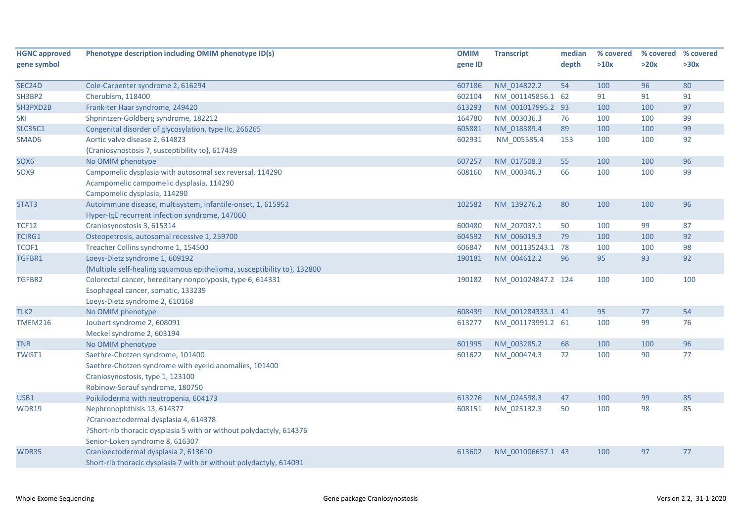| <b>HGNC approved</b> | Phenotype description including OMIM phenotype ID(s)                                                                                                                           | <b>OMIM</b> | <b>Transcript</b>  | median | % covered | % covered % covered |      |
|----------------------|--------------------------------------------------------------------------------------------------------------------------------------------------------------------------------|-------------|--------------------|--------|-----------|---------------------|------|
| gene symbol          |                                                                                                                                                                                | gene ID     |                    | depth  | >10x      | >20x                | >30x |
|                      |                                                                                                                                                                                |             |                    |        |           |                     |      |
| SEC <sub>24</sub> D  | Cole-Carpenter syndrome 2, 616294                                                                                                                                              | 607186      | NM 014822.2        | 54     | 100       | 96                  | 80   |
| SH3BP2               | Cherubism, 118400                                                                                                                                                              | 602104      | NM_001145856.1 62  |        | 91        | 91                  | 91   |
| SH3PXD2B             | Frank-ter Haar syndrome, 249420                                                                                                                                                | 613293      | NM_001017995.2 93  |        | 100       | 100                 | 97   |
| SKI                  | Shprintzen-Goldberg syndrome, 182212                                                                                                                                           | 164780      | NM_003036.3        | 76     | 100       | 100                 | 99   |
| <b>SLC35C1</b>       | Congenital disorder of glycosylation, type IIc, 266265                                                                                                                         | 605881      | NM_018389.4        | 89     | 100       | 100                 | 99   |
| SMAD6                | Aortic valve disease 2, 614823                                                                                                                                                 | 602931      | NM_005585.4        | 153    | 100       | 100                 | 92   |
|                      | {Craniosynostosis 7, susceptibility to}, 617439                                                                                                                                |             |                    |        |           |                     |      |
| SOX6                 | No OMIM phenotype                                                                                                                                                              | 607257      | NM_017508.3        | 55     | 100       | 100                 | 96   |
| SOX9                 | Campomelic dysplasia with autosomal sex reversal, 114290<br>Acampomelic campomelic dysplasia, 114290<br>Campomelic dysplasia, 114290                                           | 608160      | NM 000346.3        | 66     | 100       | 100                 | 99   |
| STAT3                | Autoimmune disease, multisystem, infantile-onset, 1, 615952<br>Hyper-IgE recurrent infection syndrome, 147060                                                                  | 102582      | NM 139276.2        | 80     | 100       | 100                 | 96   |
| <b>TCF12</b>         | Craniosynostosis 3, 615314                                                                                                                                                     | 600480      | NM_207037.1        | 50     | 100       | 99                  | 87   |
| <b>TCIRG1</b>        | Osteopetrosis, autosomal recessive 1, 259700                                                                                                                                   | 604592      | NM_006019.3        | 79     | 100       | 100                 | 92   |
| TCOF1                | Treacher Collins syndrome 1, 154500                                                                                                                                            | 606847      | NM_001135243.1 78  |        | 100       | 100                 | 98   |
| TGFBR1               | Loeys-Dietz syndrome 1, 609192<br>{Multiple self-healing squamous epithelioma, susceptibility to}, 132800                                                                      | 190181      | NM 004612.2        | 96     | 95        | 93                  | 92   |
| TGFBR2               | Colorectal cancer, hereditary nonpolyposis, type 6, 614331<br>Esophageal cancer, somatic, 133239<br>Loeys-Dietz syndrome 2, 610168                                             | 190182      | NM_001024847.2 124 |        | 100       | 100                 | 100  |
| TLK <sub>2</sub>     | No OMIM phenotype                                                                                                                                                              | 608439      | NM 001284333.1 41  |        | 95        | 77                  | 54   |
| <b>TMEM216</b>       | Joubert syndrome 2, 608091<br>Meckel syndrome 2, 603194                                                                                                                        | 613277      | NM 001173991.2 61  |        | 100       | 99                  | 76   |
| <b>TNR</b>           | No OMIM phenotype                                                                                                                                                              | 601995      | NM 003285.2        | 68     | 100       | 100                 | 96   |
| <b>TWIST1</b>        | Saethre-Chotzen syndrome, 101400<br>Saethre-Chotzen syndrome with eyelid anomalies, 101400<br>Craniosynostosis, type 1, 123100<br>Robinow-Sorauf syndrome, 180750              | 601622      | NM_000474.3        | 72     | 100       | 90                  | 77   |
| USB1                 | Poikiloderma with neutropenia, 604173                                                                                                                                          | 613276      | NM_024598.3        | 47     | 100       | 99                  | 85   |
| <b>WDR19</b>         | Nephronophthisis 13, 614377<br>?Cranioectodermal dysplasia 4, 614378<br>?Short-rib thoracic dysplasia 5 with or without polydactyly, 614376<br>Senior-Loken syndrome 8, 616307 | 608151      | NM_025132.3        | 50     | 100       | 98                  | 85   |
| WDR35                | Cranioectodermal dysplasia 2, 613610<br>Short-rib thoracic dysplasia 7 with or without polydactyly, 614091                                                                     | 613602      | NM 001006657.1 43  |        | 100       | 97                  | 77   |